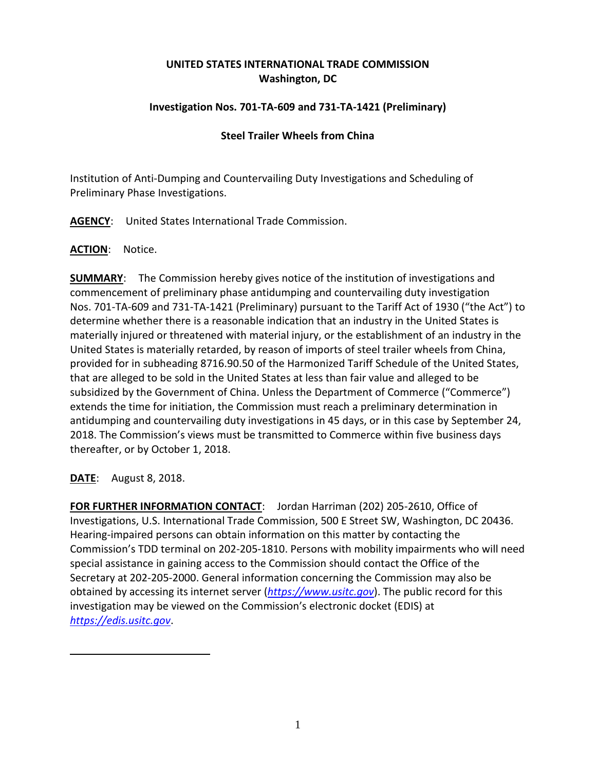# **UNITED STATES INTERNATIONAL TRADE COMMISSION Washington, DC**

## **Investigation Nos. 701-TA-609 and 731-TA-1421 (Preliminary)**

## **Steel Trailer Wheels from China**

Institution of Anti-Dumping and Countervailing Duty Investigations and Scheduling of Preliminary Phase Investigations.

**AGENCY**: United States International Trade Commission.

### **ACTION**: Notice.

**SUMMARY**: The Commission hereby gives notice of the institution of investigations and commencement of preliminary phase antidumping and countervailing duty investigation Nos. 701-TA-609 and 731-TA-1421 (Preliminary) pursuant to the Tariff Act of 1930 ("the Act") to determine whether there is a reasonable indication that an industry in the United States is materially injured or threatened with material injury, or the establishment of an industry in the United States is materially retarded, by reason of imports of steel trailer wheels from China, provided for in subheading 8716.90.50 of the Harmonized Tariff Schedule of the United States, that are alleged to be sold in the United States at less than fair value and alleged to be subsidized by the Government of China. Unless the Department of Commerce ("Commerce") extends the time for initiation, the Commission must reach a preliminary determination in antidumping and countervailing duty investigations in 45 days, or in this case by September 24, 2018. The Commission's views must be transmitted to Commerce within five business days thereafter, or by October 1, 2018.

**DATE**: August 8, 2018.

**FOR FURTHER INFORMATION CONTACT**: Jordan Harriman (202) 205-2610, Office of Investigations, U.S. International Trade Commission, 500 E Street SW, Washington, DC 20436. Hearing-impaired persons can obtain information on this matter by contacting the Commission's TDD terminal on 202-205-1810. Persons with mobility impairments who will need special assistance in gaining access to the Commission should contact the Office of the Secretary at 202-205-2000. General information concerning the Commission may also be obtained by accessing its internet server (*[https://www.usitc.gov](https://www.usitc.gov/)*). The public record for this investigation may be viewed on the Commission's electronic docket (EDIS) at *[https://edis.usitc.gov](https://edis.usitc.gov/)*.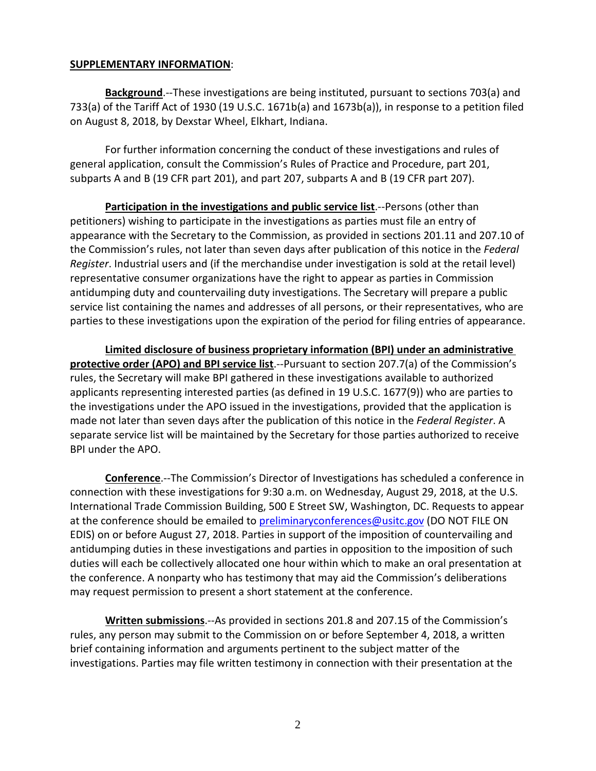#### **SUPPLEMENTARY INFORMATION**:

**Background**.--These investigations are being instituted, pursuant to sections 703(a) and 733(a) of the Tariff Act of 1930 (19 U.S.C. 1671b(a) and 1673b(a)), in response to a petition filed on August 8, 2018, by Dexstar Wheel, Elkhart, Indiana.

For further information concerning the conduct of these investigations and rules of general application, consult the Commission's Rules of Practice and Procedure, part 201, subparts A and B (19 CFR part 201), and part 207, subparts A and B (19 CFR part 207).

**Participation in the investigations and public service list**.--Persons (other than petitioners) wishing to participate in the investigations as parties must file an entry of appearance with the Secretary to the Commission, as provided in sections 201.11 and 207.10 of the Commission's rules, not later than seven days after publication of this notice in the *Federal Register*. Industrial users and (if the merchandise under investigation is sold at the retail level) representative consumer organizations have the right to appear as parties in Commission antidumping duty and countervailing duty investigations. The Secretary will prepare a public service list containing the names and addresses of all persons, or their representatives, who are parties to these investigations upon the expiration of the period for filing entries of appearance.

**Limited disclosure of business proprietary information (BPI) under an administrative protective order (APO) and BPI service list**.--Pursuant to section 207.7(a) of the Commission's rules, the Secretary will make BPI gathered in these investigations available to authorized applicants representing interested parties (as defined in 19 U.S.C. 1677(9)) who are parties to the investigations under the APO issued in the investigations, provided that the application is made not later than seven days after the publication of this notice in the *Federal Register*. A separate service list will be maintained by the Secretary for those parties authorized to receive BPI under the APO.

**Conference**.--The Commission's Director of Investigations has scheduled a conference in connection with these investigations for 9:30 a.m. on Wednesday, August 29, 2018, at the U.S. International Trade Commission Building, 500 E Street SW, Washington, DC. Requests to appear at the conference should be emailed to [preliminaryconferences@usitc.gov](mailto:preliminaryconferences@usitc.gov) (DO NOT FILE ON EDIS) on or before August 27, 2018. Parties in support of the imposition of countervailing and antidumping duties in these investigations and parties in opposition to the imposition of such duties will each be collectively allocated one hour within which to make an oral presentation at the conference. A nonparty who has testimony that may aid the Commission's deliberations may request permission to present a short statement at the conference.

**Written submissions**.--As provided in sections 201.8 and 207.15 of the Commission's rules, any person may submit to the Commission on or before September 4, 2018, a written brief containing information and arguments pertinent to the subject matter of the investigations. Parties may file written testimony in connection with their presentation at the